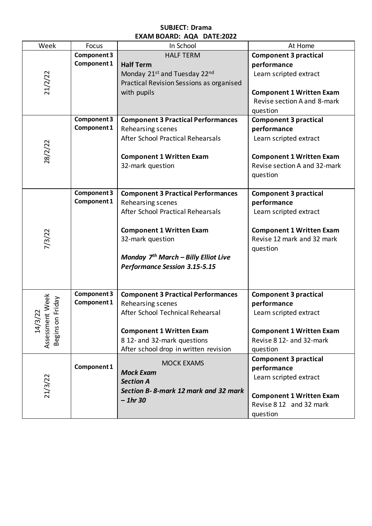## **SUBJECT: Drama EXAM BOARD: AQA DATE:2022**

| Week                                                                   | Focus       | LAAIVI DUAND. AQA DATL.ZUZZ<br>In School             | At Home                         |
|------------------------------------------------------------------------|-------------|------------------------------------------------------|---------------------------------|
|                                                                        | Component 3 | <b>HALF TERM</b>                                     | <b>Component 3 practical</b>    |
| 21/2/22                                                                | Component 1 | <b>Half Term</b>                                     | performance                     |
|                                                                        |             | Monday 21 <sup>st</sup> and Tuesday 22 <sup>nd</sup> | Learn scripted extract          |
|                                                                        |             | Practical Revision Sessions as organised             |                                 |
|                                                                        |             | with pupils                                          | <b>Component 1 Written Exam</b> |
|                                                                        |             |                                                      | Revise section A and 8-mark     |
|                                                                        |             |                                                      | question                        |
|                                                                        | Component 3 | <b>Component 3 Practical Performances</b>            | <b>Component 3 practical</b>    |
| 28/2/22                                                                | Component 1 | Rehearsing scenes                                    | performance                     |
|                                                                        |             | After School Practical Rehearsals                    | Learn scripted extract          |
|                                                                        |             |                                                      |                                 |
|                                                                        |             | <b>Component 1 Written Exam</b>                      | <b>Component 1 Written Exam</b> |
|                                                                        |             | 32-mark question                                     | Revise section A and 32-mark    |
|                                                                        |             |                                                      | question                        |
|                                                                        |             |                                                      |                                 |
|                                                                        | Component 3 | <b>Component 3 Practical Performances</b>            | <b>Component 3 practical</b>    |
|                                                                        | Component 1 | Rehearsing scenes                                    | performance                     |
|                                                                        |             | After School Practical Rehearsals                    | Learn scripted extract          |
|                                                                        |             |                                                      |                                 |
|                                                                        |             | <b>Component 1 Written Exam</b>                      | <b>Component 1 Written Exam</b> |
| 7/3/22                                                                 |             | 32-mark question                                     | Revise 12 mark and 32 mark      |
|                                                                        |             |                                                      | question                        |
|                                                                        |             | Monday 7 <sup>th</sup> March - Billy Elliot Live     |                                 |
|                                                                        |             | <b>Performance Session 3.15-5.15</b>                 |                                 |
|                                                                        |             |                                                      |                                 |
|                                                                        |             |                                                      |                                 |
| nt Week<br>Friday<br>$\overline{2}$<br>Begins on<br>Assessmer<br>14/3/ | Component 3 | <b>Component 3 Practical Performances</b>            | <b>Component 3 practical</b>    |
|                                                                        | Component 1 | Rehearsing scenes                                    | performance                     |
|                                                                        |             | After School Technical Rehearsal                     | Learn scripted extract          |
|                                                                        |             |                                                      |                                 |
|                                                                        |             | <b>Component 1 Written Exam</b>                      | <b>Component 1 Written Exam</b> |
|                                                                        |             | 8 12- and 32-mark questions                          | Revise 8 12- and 32-mark        |
|                                                                        |             | After school drop in written revision                | question                        |
| 21/3/22                                                                |             | <b>MOCK EXAMS</b>                                    | <b>Component 3 practical</b>    |
|                                                                        | Component 1 | <b>Mock Exam</b>                                     | performance                     |
|                                                                        |             | <b>Section A</b>                                     | Learn scripted extract          |
|                                                                        |             | Section B-8-mark 12 mark and 32 mark                 |                                 |
|                                                                        |             | $-1hr30$                                             | <b>Component 1 Written Exam</b> |
|                                                                        |             |                                                      | Revise 8 12 and 32 mark         |
|                                                                        |             |                                                      | question                        |